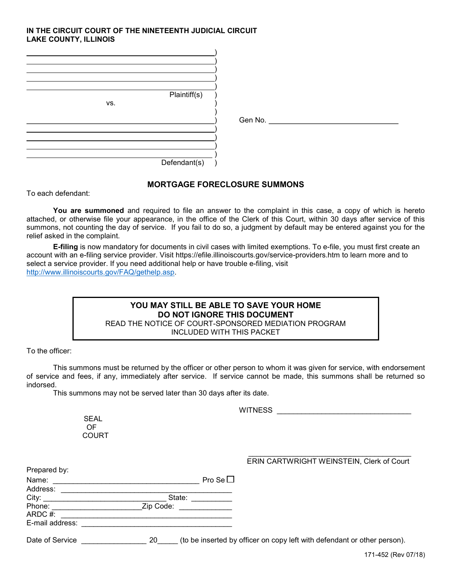## IN THE CIRCUIT COURT OF THE NINETEENTH JUDICIAL CIRCUIT LAKE COUNTY, ILLINOIS

| Plaintiff(s)<br>VS. |                   |
|---------------------|-------------------|
|                     | Gen No. _________ |
| Defendant(s)        |                   |

## MORTGAGE FORECLOSURE SUMMONS

To each defendant:

You are summoned and required to file an answer to the complaint in this case, a copy of which is hereto attached, or otherwise file your appearance, in the office of the Clerk of this Court, within 30 days after service of this summons, not counting the day of service. If you fail to do so, a judgment by default may be entered against you for the relief asked in the complaint.

E-filing is now mandatory for documents in civil cases with limited exemptions. To e-file, you must first create an account with an e-filing service provider. Visit https://efile.illinoiscourts.gov/service-providers.htm to learn more and to select a service provider. If you need additional help or have trouble e-filing, visit http://www.illinoiscourts.gov/FAQ/gethelp.asp.

## YOU MAY STILL BE ABLE TO SAVE YOUR HOME DO NOT IGNORE THIS DOCUMENT READ THE NOTICE OF COURT-SPONSORED MEDIATION PROGRAM

INCLUDED WITH THIS PACKET

To the officer:

 This summons must be returned by the officer or other person to whom it was given for service, with endorsement of service and fees, if any, immediately after service. If service cannot be made, this summons shall be returned so indorsed.

This summons may not be served later than 30 days after its date.

WITNESS **WITNESS** 

 SEAL OF **COURT** 

## $\mathcal{L}_\text{max}$  , and the set of the set of the set of the set of the set of the set of the set of the set of the set of the set of the set of the set of the set of the set of the set of the set of the set of the set of the ERIN CARTWRIGHT WEINSTEIN, Clerk of Court

| Prepared by:    |                  |                                                                          |
|-----------------|------------------|--------------------------------------------------------------------------|
| Name:           | Pro Se $\square$ |                                                                          |
| Address:        |                  |                                                                          |
| City:           | State:           |                                                                          |
| Phone:          | Zip Code:        |                                                                          |
| ARDC #:         |                  |                                                                          |
| E-mail address: |                  |                                                                          |
| Date of Service | 20               | (to be inserted by officer on copy left with defendant or other person). |